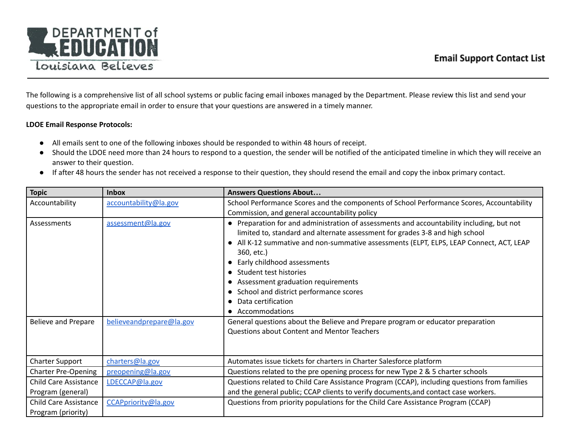The following is a comprehensive list of all school systems or public facing email inboxes managed by the Department. Please review this list and send your questions to the appropriate email in order to ensure that your questions are answered in a timely manner.

## **LDOE Email Response Protocols:**

- All emails sent to one of the following inboxes should be responded to within 48 hours of receipt.
- Should the LDOE need more than 24 hours to respond to a question, the sender will be notified of the anticipated timeline in which they will receive an answer to their question.
- If after 48 hours the sender has not received a response to their question, they should resend the email and copy the inbox primary contact.

| <b>Topic</b>                 | <b>Inbox</b>             | <b>Answers Questions About</b>                                                                                                                                                                                                                                                                                                                                                                                                                                                                    |
|------------------------------|--------------------------|---------------------------------------------------------------------------------------------------------------------------------------------------------------------------------------------------------------------------------------------------------------------------------------------------------------------------------------------------------------------------------------------------------------------------------------------------------------------------------------------------|
| Accountability               | accountability@la.gov    | School Performance Scores and the components of School Performance Scores, Accountability                                                                                                                                                                                                                                                                                                                                                                                                         |
|                              |                          | Commission, and general accountability policy                                                                                                                                                                                                                                                                                                                                                                                                                                                     |
| Assessments                  | assessment@la.gov        | • Preparation for and administration of assessments and accountability including, but not<br>limited to, standard and alternate assessment for grades 3-8 and high school<br>• All K-12 summative and non-summative assessments (ELPT, ELPS, LEAP Connect, ACT, LEAP<br>360, etc.)<br>Early childhood assessments<br>• Student test histories<br>Assessment graduation requirements<br>$\bullet$<br>School and district performance scores<br>$\bullet$<br>Data certification<br>• Accommodations |
| <b>Believe and Prepare</b>   | believeandprepare@la.gov | General questions about the Believe and Prepare program or educator preparation<br><b>Questions about Content and Mentor Teachers</b>                                                                                                                                                                                                                                                                                                                                                             |
| <b>Charter Support</b>       | charters@la.gov          | Automates issue tickets for charters in Charter Salesforce platform                                                                                                                                                                                                                                                                                                                                                                                                                               |
| <b>Charter Pre-Opening</b>   | preopening@la.gov        | Questions related to the pre opening process for new Type 2 & 5 charter schools                                                                                                                                                                                                                                                                                                                                                                                                                   |
| <b>Child Care Assistance</b> | LDECCAP@la.gov           | Questions related to Child Care Assistance Program (CCAP), including questions from families                                                                                                                                                                                                                                                                                                                                                                                                      |
| Program (general)            |                          | and the general public; CCAP clients to verify documents, and contact case workers.                                                                                                                                                                                                                                                                                                                                                                                                               |
| <b>Child Care Assistance</b> | CCAPpriority@la.gov      | Questions from priority populations for the Child Care Assistance Program (CCAP)                                                                                                                                                                                                                                                                                                                                                                                                                  |
| Program (priority)           |                          |                                                                                                                                                                                                                                                                                                                                                                                                                                                                                                   |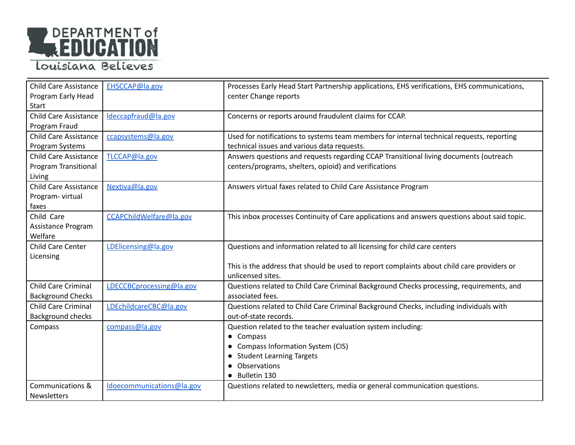

| <b>Child Care Assistance</b> | EHSCCAP@la.gov            | Processes Early Head Start Partnership applications, EHS verifications, EHS communications,  |
|------------------------------|---------------------------|----------------------------------------------------------------------------------------------|
| Program Early Head           |                           | center Change reports                                                                        |
| Start                        |                           |                                                                                              |
| <b>Child Care Assistance</b> | Ideccapfraud@la.gov       | Concerns or reports around fraudulent claims for CCAP.                                       |
| Program Fraud                |                           |                                                                                              |
| <b>Child Care Assistance</b> | ccapsystems@la.gov        | Used for notifications to systems team members for internal technical requests, reporting    |
| Program Systems              |                           | technical issues and various data requests.                                                  |
| <b>Child Care Assistance</b> | TLCCAP@la.gov             | Answers questions and requests regarding CCAP Transitional living documents (outreach        |
| Program Transitional         |                           | centers/programs, shelters, opioid) and verifications                                        |
| Living                       |                           |                                                                                              |
| <b>Child Care Assistance</b> | Nextiva@la.gov            | Answers virtual faxes related to Child Care Assistance Program                               |
| Program-virtual              |                           |                                                                                              |
| faxes                        |                           |                                                                                              |
| Child Care                   | CCAPChildWelfare@la.gov   | This inbox processes Continuity of Care applications and answers questions about said topic. |
| Assistance Program           |                           |                                                                                              |
| Welfare                      |                           |                                                                                              |
| <b>Child Care Center</b>     | LDElicensing@la.gov       | Questions and information related to all licensing for child care centers                    |
| Licensing                    |                           |                                                                                              |
|                              |                           | This is the address that should be used to report complaints about child care providers or   |
|                              |                           | unlicensed sites.                                                                            |
| <b>Child Care Criminal</b>   | LDECCBCprocessing@la.gov  | Questions related to Child Care Criminal Background Checks processing, requirements, and     |
| <b>Background Checks</b>     |                           | associated fees.                                                                             |
| <b>Child Care Criminal</b>   | LDEchildcareCBC@la.gov    | Questions related to Child Care Criminal Background Checks, including individuals with       |
| <b>Background checks</b>     |                           | out-of-state records.                                                                        |
| Compass                      | compass@la.gov            | Question related to the teacher evaluation system including:                                 |
|                              |                           | • Compass                                                                                    |
|                              |                           | • Compass Information System (CIS)                                                           |
|                              |                           | • Student Learning Targets                                                                   |
|                              |                           | Observations                                                                                 |
|                              |                           | • Bulletin 130                                                                               |
| Communications &             | Idoecommunications@la.gov | Questions related to newsletters, media or general communication questions.                  |
| Newsletters                  |                           |                                                                                              |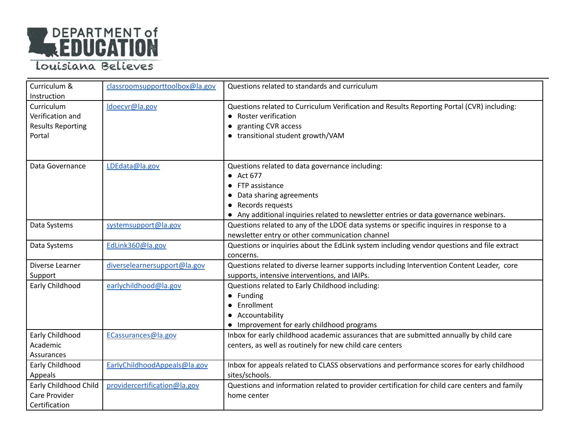

| Curriculum &             | classroomsupporttoolbox@la.gov | Questions related to standards and curriculum                                                 |
|--------------------------|--------------------------------|-----------------------------------------------------------------------------------------------|
| Instruction              |                                |                                                                                               |
| Curriculum               | Idoecvr@la.gov                 | Questions related to Curriculum Verification and Results Reporting Portal (CVR) including:    |
| Verification and         |                                | • Roster verification                                                                         |
| <b>Results Reporting</b> |                                | granting CVR access<br>$\bullet$                                                              |
| Portal                   |                                | transitional student growth/VAM<br>$\bullet$                                                  |
|                          |                                |                                                                                               |
| Data Governance          | LDEdata@la.gov                 | Questions related to data governance including:                                               |
|                          |                                | • Act 677                                                                                     |
|                          |                                | FTP assistance<br>$\bullet$                                                                   |
|                          |                                | Data sharing agreements<br>$\bullet$                                                          |
|                          |                                | Records requests<br>$\bullet$                                                                 |
|                          |                                | • Any additional inquiries related to newsletter entries or data governance webinars.         |
| Data Systems             | systemsupport@la.gov           | Questions related to any of the LDOE data systems or specific inquires in response to a       |
|                          |                                | newsletter entry or other communication channel                                               |
| Data Systems             | EdLink360@la.gov               | Questions or inquiries about the EdLink system including vendor questions and file extract    |
|                          |                                | concerns.                                                                                     |
| Diverse Learner          | diverselearnersupport@la.gov   | Questions related to diverse learner supports including Intervention Content Leader, core     |
| Support                  |                                | supports, intensive interventions, and IAIPs.                                                 |
| Early Childhood          | earlychildhood@la.gov          | Questions related to Early Childhood including:                                               |
|                          |                                | • Funding                                                                                     |
|                          |                                | Enrollment                                                                                    |
|                          |                                | Accountability                                                                                |
|                          |                                | • Improvement for early childhood programs                                                    |
| Early Childhood          | ECassurances@la.gov            | Inbox for early childhood academic assurances that are submitted annually by child care       |
| Academic                 |                                | centers, as well as routinely for new child care centers                                      |
| Assurances               |                                |                                                                                               |
| Early Childhood          | EarlyChildhoodAppeals@la.gov   | Inbox for appeals related to CLASS observations and performance scores for early childhood    |
| Appeals                  |                                | sites/schools.                                                                                |
| Early Childhood Child    | providercertification@la.gov   | Questions and information related to provider certification for child care centers and family |
| Care Provider            |                                | home center                                                                                   |
| Certification            |                                |                                                                                               |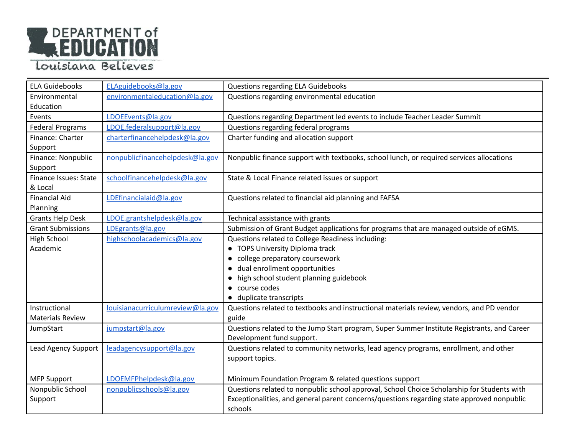

| <b>ELA Guidebooks</b>        | ELAguidebooks@la.gov             | <b>Questions regarding ELA Guidebooks</b>                                                   |
|------------------------------|----------------------------------|---------------------------------------------------------------------------------------------|
| Environmental                | environmentaleducation@la.gov    | Questions regarding environmental education                                                 |
| Education                    |                                  |                                                                                             |
| Events                       | LDOEEvents@la.gov                | Questions regarding Department led events to include Teacher Leader Summit                  |
| <b>Federal Programs</b>      | LDOE.federalsupport@la.gov       | Questions regarding federal programs                                                        |
| Finance: Charter             | charterfinancehelpdesk@la.gov    | Charter funding and allocation support                                                      |
| Support                      |                                  |                                                                                             |
| Finance: Nonpublic           | nonpublicfinancehelpdesk@la.gov  | Nonpublic finance support with textbooks, school lunch, or required services allocations    |
| Support                      |                                  |                                                                                             |
| <b>Finance Issues: State</b> | schoolfinancehelpdesk@la.gov     | State & Local Finance related issues or support                                             |
| & Local                      |                                  |                                                                                             |
| <b>Financial Aid</b>         | LDEfinancialaid@la.gov           | Questions related to financial aid planning and FAFSA                                       |
| Planning                     |                                  |                                                                                             |
| <b>Grants Help Desk</b>      | LDOE.grantshelpdesk@la.gov       | Technical assistance with grants                                                            |
| <b>Grant Submissions</b>     | LDEgrants@la.gov                 | Submission of Grant Budget applications for programs that are managed outside of eGMS.      |
| <b>High School</b>           | highschoolacademics@la.gov       | Questions related to College Readiness including:                                           |
| Academic                     |                                  | • TOPS University Diploma track                                                             |
|                              |                                  | college preparatory coursework                                                              |
|                              |                                  | dual enrollment opportunities                                                               |
|                              |                                  | high school student planning guidebook                                                      |
|                              |                                  | course codes<br>$\bullet$                                                                   |
|                              |                                  | duplicate transcripts                                                                       |
| Instructional                | louisianacurriculumreview@la.gov | Questions related to textbooks and instructional materials review, vendors, and PD vendor   |
| <b>Materials Review</b>      |                                  | guide                                                                                       |
| JumpStart                    | jumpstart@la.gov                 | Questions related to the Jump Start program, Super Summer Institute Registrants, and Career |
|                              |                                  | Development fund support.                                                                   |
| Lead Agency Support          | leadagencysupport@la.gov         | Questions related to community networks, lead agency programs, enrollment, and other        |
|                              |                                  | support topics.                                                                             |
|                              |                                  |                                                                                             |
| <b>MFP Support</b>           | LDOEMFPhelpdesk@la.gov           | Minimum Foundation Program & related questions support                                      |
| Nonpublic School             | nonpublicschools@la.gov          | Questions related to nonpublic school approval, School Choice Scholarship for Students with |
| Support                      |                                  | Exceptionalities, and general parent concerns/questions regarding state approved nonpublic  |
|                              |                                  | schools                                                                                     |